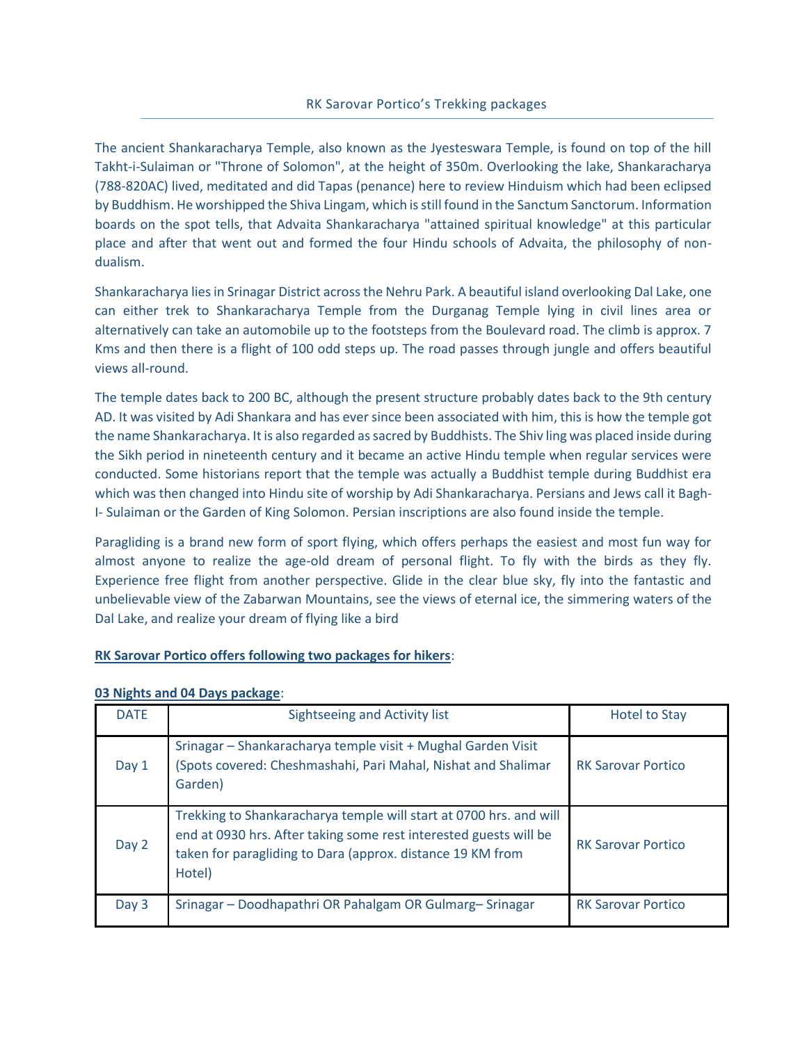### RK Sarovar Portico's Trekking packages

The ancient Shankaracharya Temple, also known as the Jyesteswara Temple, is found on top of the hill Takht-i-Sulaiman or "Throne of Solomon", at the height of 350m. Overlooking the lake, Shankaracharya (788-820AC) lived, meditated and did Tapas (penance) here to review Hinduism which had been eclipsed by Buddhism. He worshipped the Shiva Lingam, which is still found in the Sanctum Sanctorum. Information boards on the spot tells, that Advaita Shankaracharya "attained spiritual knowledge" at this particular place and after that went out and formed the four Hindu schools of Advaita, the philosophy of nondualism.

Shankaracharya lies in Srinagar District across the Nehru Park. A beautiful island overlooking Dal Lake, one can either trek to Shankaracharya Temple from the Durganag Temple lying in civil lines area or alternatively can take an automobile up to the footsteps from the Boulevard road. The climb is approx. 7 Kms and then there is a flight of 100 odd steps up. The road passes through jungle and offers beautiful views all-round.

The temple dates back to 200 BC, although the present structure probably dates back to the 9th century AD. It was visited by Adi Shankara and has ever since been associated with him, this is how the temple got the name Shankaracharya. It is also regarded as sacred by Buddhists. The Shiv ling was placed inside during the Sikh period in nineteenth century and it became an active Hindu temple when regular services were conducted. Some historians report that the temple was actually a Buddhist temple during Buddhist era which was then changed into Hindu site of worship by Adi Shankaracharya. Persians and Jews call it Bagh-I- Sulaiman or the Garden of King Solomon. Persian inscriptions are also found inside the temple.

Paragliding is a brand new form of sport flying, which offers perhaps the easiest and most fun way for almost anyone to realize the age-old dream of personal flight. To fly with the birds as they fly. Experience free flight from another perspective. Glide in the clear blue sky, fly into the fantastic and unbelievable view of the Zabarwan Mountains, see the views of eternal ice, the simmering waters of the Dal Lake, and realize your dream of flying like a bird

## **RK Sarovar Portico offers following two packages for hikers**:

| <b>DATE</b> | Sightseeing and Activity list                                                                                                                                                                                   | <b>Hotel to Stay</b>      |
|-------------|-----------------------------------------------------------------------------------------------------------------------------------------------------------------------------------------------------------------|---------------------------|
| Day 1       | Srinagar - Shankaracharya temple visit + Mughal Garden Visit<br>(Spots covered: Cheshmashahi, Pari Mahal, Nishat and Shalimar<br>Garden)                                                                        | <b>RK Sarovar Portico</b> |
| Day 2       | Trekking to Shankaracharya temple will start at 0700 hrs. and will<br>end at 0930 hrs. After taking some rest interested guests will be<br>taken for paragliding to Dara (approx. distance 19 KM from<br>Hotel) | <b>RK Sarovar Portico</b> |
| Day 3       | Srinagar – Doodhapathri OR Pahalgam OR Gulmarg–Srinagar                                                                                                                                                         | <b>RK Sarovar Portico</b> |

## **03 Nights and 04 Days package**: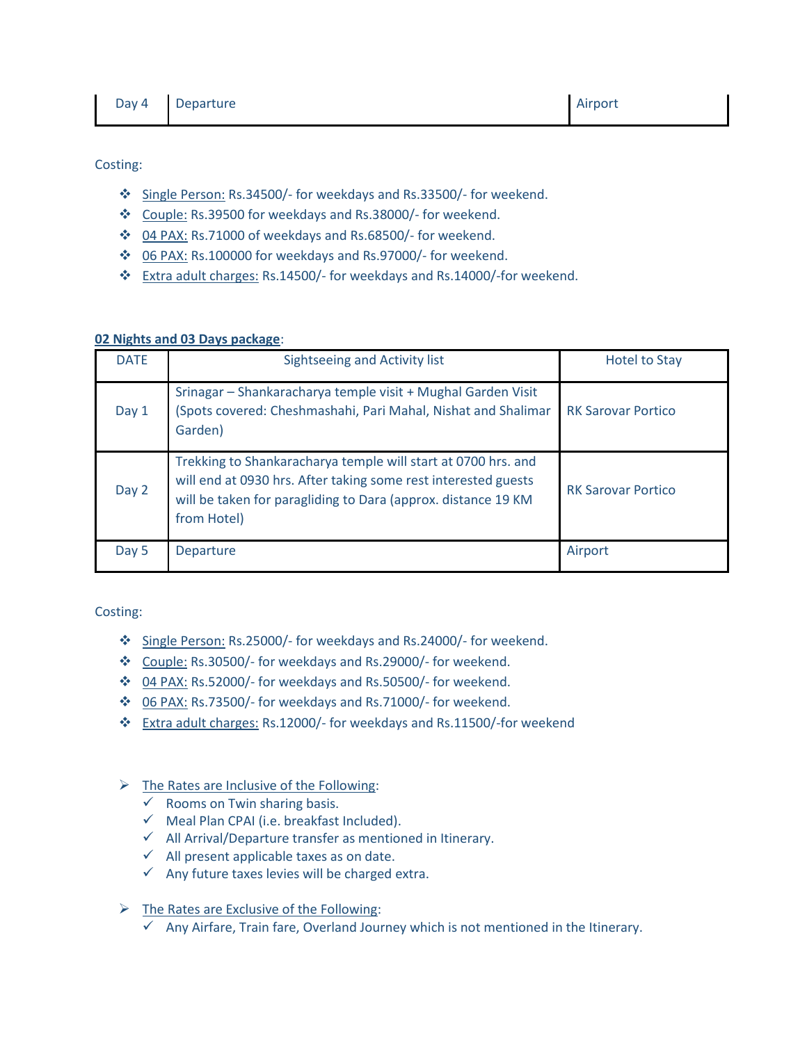Costing:

- Single Person: Rs.34500/- for weekdays and Rs.33500/- for weekend.
- Couple: Rs.39500 for weekdays and Rs.38000/- for weekend.
- 04 PAX: Rs.71000 of weekdays and Rs.68500/- for weekend.
- 06 PAX: Rs.100000 for weekdays and Rs.97000/- for weekend.
- Extra adult charges: Rs.14500/- for weekdays and Rs.14000/-for weekend.

## **02 Nights and 03 Days package**:

| <b>DATE</b> | Sightseeing and Activity list                                                                                                                                                                                   | <b>Hotel to Stay</b>      |
|-------------|-----------------------------------------------------------------------------------------------------------------------------------------------------------------------------------------------------------------|---------------------------|
| Day 1       | Srinagar – Shankaracharya temple visit + Mughal Garden Visit<br>(Spots covered: Cheshmashahi, Pari Mahal, Nishat and Shalimar<br>Garden)                                                                        | <b>RK Sarovar Portico</b> |
| Day 2       | Trekking to Shankaracharya temple will start at 0700 hrs. and<br>will end at 0930 hrs. After taking some rest interested guests<br>will be taken for paragliding to Dara (approx. distance 19 KM<br>from Hotel) | <b>RK Sarovar Portico</b> |
| Day 5       | Departure                                                                                                                                                                                                       | Airport                   |

Costing:

- Single Person: Rs.25000/- for weekdays and Rs.24000/- for weekend.
- Couple: Rs.30500/- for weekdays and Rs.29000/- for weekend.
- 04 PAX: Rs.52000/- for weekdays and Rs.50500/- for weekend.
- ◆ 06 PAX: Rs.73500/- for weekdays and Rs.71000/- for weekend.
- Extra adult charges: Rs.12000/- for weekdays and Rs.11500/-for weekend

# $\triangleright$  The Rates are Inclusive of the Following:

- $\checkmark$  Rooms on Twin sharing basis.
- $\checkmark$  Meal Plan CPAI (i.e. breakfast Included).
- $\checkmark$  All Arrival/Departure transfer as mentioned in Itinerary.
- $\checkmark$  All present applicable taxes as on date.
- $\checkmark$  Any future taxes levies will be charged extra.

# $\triangleright$  The Rates are Exclusive of the Following:

 $\checkmark$  Any Airfare, Train fare, Overland Journey which is not mentioned in the Itinerary.